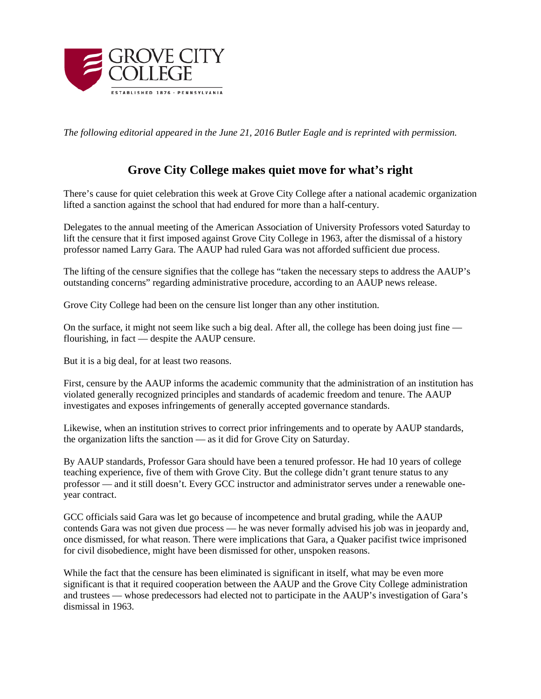

*The following editorial appeared in the June 21, 2016 Butler Eagle and is reprinted with permission.*

## **Grove City College makes quiet move for what's right**

There's cause for quiet celebration this week at Grove City College after a national academic organization lifted a sanction against the school that had endured for more than a half-century.

Delegates to the annual meeting of the American Association of University Professors voted Saturday to lift the censure that it first imposed against Grove City College in 1963, after the dismissal of a history professor named Larry Gara. The AAUP had ruled Gara was not afforded sufficient due process.

The lifting of the censure signifies that the college has "taken the necessary steps to address the AAUP's outstanding concerns" regarding administrative procedure, according to an AAUP news release.

Grove City College had been on the censure list longer than any other institution.

On the surface, it might not seem like such a big deal. After all, the college has been doing just fine flourishing, in fact — despite the AAUP censure.

But it is a big deal, for at least two reasons.

First, censure by the AAUP informs the academic community that the administration of an institution has violated generally recognized principles and standards of academic freedom and tenure. The AAUP investigates and exposes infringements of generally accepted governance standards.

Likewise, when an institution strives to correct prior infringements and to operate by AAUP standards, the organization lifts the sanction — as it did for Grove City on Saturday.

By AAUP standards, Professor Gara should have been a tenured professor. He had 10 years of college teaching experience, five of them with Grove City. But the college didn't grant tenure status to any professor — and it still doesn't. Every GCC instructor and administrator serves under a renewable oneyear contract.

GCC officials said Gara was let go because of incompetence and brutal grading, while the AAUP contends Gara was not given due process — he was never formally advised his job was in jeopardy and, once dismissed, for what reason. There were implications that Gara, a Quaker pacifist twice imprisoned for civil disobedience, might have been dismissed for other, unspoken reasons.

While the fact that the censure has been eliminated is significant in itself, what may be even more significant is that it required cooperation between the AAUP and the Grove City College administration and trustees — whose predecessors had elected not to participate in the AAUP's investigation of Gara's dismissal in 1963.